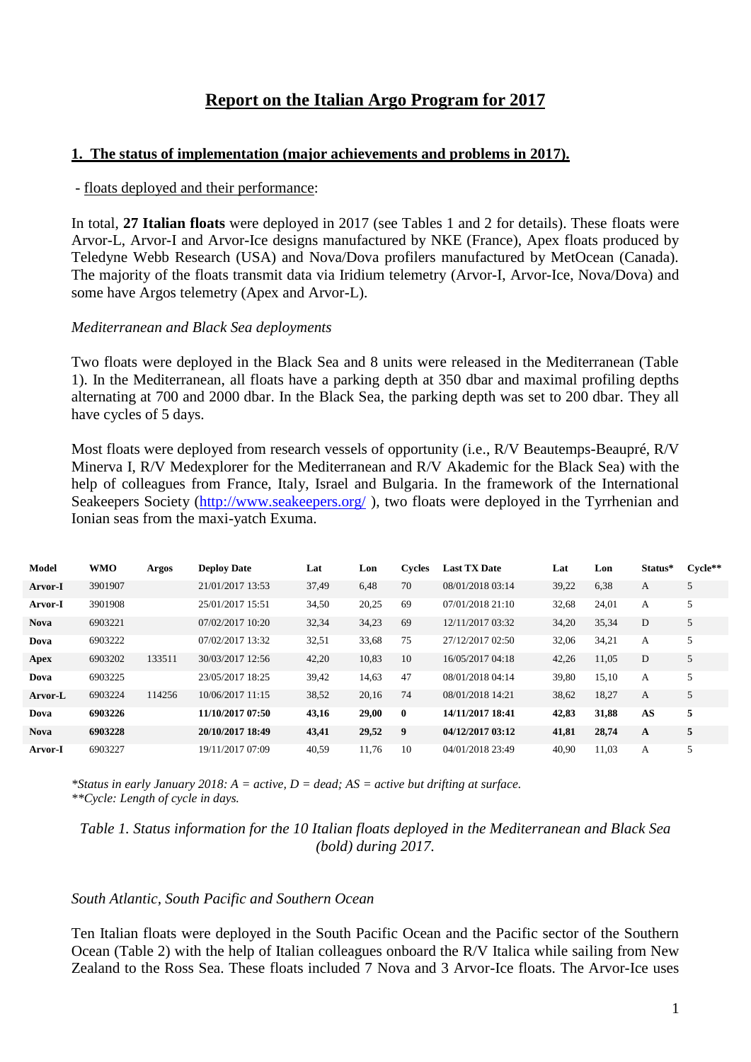# **Report on the Italian Argo Program for 2017**

#### **1. The status of implementation (major achievements and problems in 2017).**

#### - floats deployed and their performance:

In total, **27 Italian floats** were deployed in 2017 (see Tables 1 and 2 for details). These floats were Arvor-L, Arvor-I and Arvor-Ice designs manufactured by NKE (France), Apex floats produced by Teledyne Webb Research (USA) and Nova/Dova profilers manufactured by MetOcean (Canada). The majority of the floats transmit data via Iridium telemetry (Arvor-I, Arvor-Ice, Nova/Dova) and some have Argos telemetry (Apex and Arvor-L).

#### *Mediterranean and Black Sea deployments*

Two floats were deployed in the Black Sea and 8 units were released in the Mediterranean (Table 1). In the Mediterranean, all floats have a parking depth at 350 dbar and maximal profiling depths alternating at 700 and 2000 dbar. In the Black Sea, the parking depth was set to 200 dbar. They all have cycles of 5 days.

Most floats were deployed from research vessels of opportunity (i.e., R/V Beautemps-Beaupré, R/V Minerva I, R/V Medexplorer for the Mediterranean and R/V Akademic for the Black Sea) with the help of colleagues from France, Italy, Israel and Bulgaria. In the framework of the International Seakeepers Society [\(http://www.seakeepers.org/](http://www.seakeepers.org/)), two floats were deployed in the Tyrrhenian and Ionian seas from the maxi-yatch Exuma.

| Model       | <b>WMO</b> | Argos  | <b>Deploy Date</b> | Lat   | Lon   | Cycles   | <b>Last TX Date</b> | Lat   | Lon   | Status* | $C$ vcle $**$ |
|-------------|------------|--------|--------------------|-------|-------|----------|---------------------|-------|-------|---------|---------------|
| Arvor-I     | 3901907    |        | 21/01/2017 13:53   | 37,49 | 6,48  | 70       | 08/01/2018 03:14    | 39,22 | 6,38  | А       | 5             |
| Arvor-I     | 3901908    |        | 25/01/2017 15:51   | 34,50 | 20,25 | 69       | 07/01/2018 21:10    | 32,68 | 24,01 | A       | 5             |
| <b>Nova</b> | 6903221    |        | 07/02/2017 10:20   | 32,34 | 34,23 | 69       | 12/11/2017 03:32    | 34,20 | 35,34 | D       | 5             |
| Dova        | 6903222    |        | 07/02/2017 13:32   | 32,51 | 33,68 | 75       | 27/12/2017 02:50    | 32,06 | 34,21 | А       |               |
| Apex        | 6903202    | 133511 | 30/03/2017 12:56   | 42,20 | 10,83 | 10       | 16/05/2017 04:18    | 42,26 | 11,05 | D       | 5             |
| Dova        | 6903225    |        | 23/05/2017 18:25   | 39,42 | 14,63 | 47       | 08/01/2018 04:14    | 39,80 | 15,10 | A       |               |
| Arvor-L     | 6903224    | 114256 | 10/06/2017 11:15   | 38,52 | 20,16 | 74       | 08/01/2018 14:21    | 38,62 | 18,27 | A       |               |
| Dova        | 6903226    |        | 11/10/2017 07:50   | 43,16 | 29,00 | $\bf{0}$ | 14/11/2017 18:41    | 42,83 | 31,88 | AS      | 5             |
| <b>Nova</b> | 6903228    |        | 20/10/2017 18:49   | 43,41 | 29,52 | 9        | 04/12/2017 03:12    | 41,81 | 28,74 | A       | 5             |
| Arvor-I     | 6903227    |        | 19/11/2017 07:09   | 40.59 | 11.76 | 10       | 04/01/2018 23:49    | 40.90 | 11.03 | А       |               |

*\*Status in early January 2018: A = active, D = dead; AS = active but drifting at surface. \*\*Cycle: Length of cycle in days.*

*Table 1. Status information for the 10 Italian floats deployed in the Mediterranean and Black Sea (bold) during 2017.*

#### *South Atlantic, South Pacific and Southern Ocean*

Ten Italian floats were deployed in the South Pacific Ocean and the Pacific sector of the Southern Ocean (Table 2) with the help of Italian colleagues onboard the R/V Italica while sailing from New Zealand to the Ross Sea. These floats included 7 Nova and 3 Arvor-Ice floats. The Arvor-Ice uses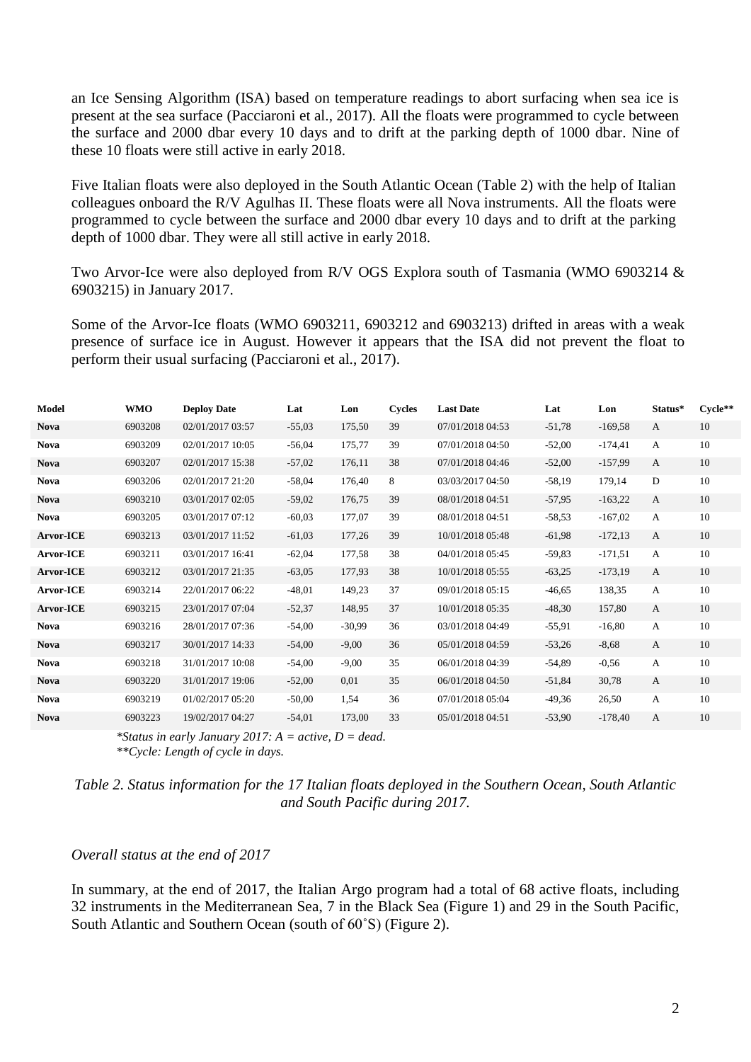an Ice Sensing Algorithm (ISA) based on temperature readings to abort surfacing when sea ice is present at the sea surface (Pacciaroni et al., 2017). All the floats were programmed to cycle between the surface and 2000 dbar every 10 days and to drift at the parking depth of 1000 dbar. Nine of these 10 floats were still active in early 2018.

Five Italian floats were also deployed in the South Atlantic Ocean (Table 2) with the help of Italian colleagues onboard the R/V Agulhas II. These floats were all Nova instruments. All the floats were programmed to cycle between the surface and 2000 dbar every 10 days and to drift at the parking depth of 1000 dbar. They were all still active in early 2018.

Two Arvor-Ice were also deployed from R/V OGS Explora south of Tasmania (WMO 6903214 & 6903215) in January 2017.

Some of the Arvor-Ice floats (WMO 6903211, 6903212 and 6903213) drifted in areas with a weak presence of surface ice in August. However it appears that the ISA did not prevent the float to perform their usual surfacing (Pacciaroni et al., 2017).

| Model            | WMO     | <b>Deploy Date</b> | Lat      | Lon      | <b>Cycles</b> | <b>Last Date</b> | Lat      | Lon       | Status*      | $Cycle**$ |
|------------------|---------|--------------------|----------|----------|---------------|------------------|----------|-----------|--------------|-----------|
| <b>Nova</b>      | 6903208 | 02/01/2017 03:57   | $-55,03$ | 175,50   | 39            | 07/01/2018 04:53 | $-51,78$ | $-169,58$ | A            | 10        |
| <b>Nova</b>      | 6903209 | 02/01/2017 10:05   | $-56,04$ | 175,77   | 39            | 07/01/2018 04:50 | $-52,00$ | $-174,41$ | A            | 10        |
| <b>Nova</b>      | 6903207 | 02/01/2017 15:38   | $-57,02$ | 176,11   | 38            | 07/01/2018 04:46 | $-52,00$ | $-157,99$ | $\mathbf{A}$ | 10        |
| <b>Nova</b>      | 6903206 | 02/01/2017 21:20   | $-58,04$ | 176,40   | 8             | 03/03/2017 04:50 | $-58,19$ | 179,14    | D            | 10        |
| <b>Nova</b>      | 6903210 | 03/01/2017 02:05   | $-59,02$ | 176,75   | 39            | 08/01/2018 04:51 | $-57,95$ | $-163,22$ | $\mathbf{A}$ | 10        |
| <b>Nova</b>      | 6903205 | 03/01/2017 07:12   | $-60,03$ | 177,07   | 39            | 08/01/2018 04:51 | $-58,53$ | $-167,02$ | A            | 10        |
| <b>Arvor-ICE</b> | 6903213 | 03/01/2017 11:52   | $-61,03$ | 177,26   | 39            | 10/01/2018 05:48 | $-61,98$ | $-172,13$ | A            | 10        |
| <b>Arvor-ICE</b> | 6903211 | 03/01/2017 16:41   | $-62,04$ | 177,58   | 38            | 04/01/2018 05:45 | $-59.83$ | $-171,51$ | A            | 10        |
| <b>Arvor-ICE</b> | 6903212 | 03/01/2017 21:35   | $-63,05$ | 177,93   | 38            | 10/01/2018 05:55 | $-63,25$ | $-173,19$ | A            | 10        |
| <b>Arvor-ICE</b> | 6903214 | 22/01/2017 06:22   | $-48,01$ | 149,23   | 37            | 09/01/2018 05:15 | $-46,65$ | 138,35    | A            | 10        |
| <b>Arvor-ICE</b> | 6903215 | 23/01/2017 07:04   | $-52,37$ | 148,95   | 37            | 10/01/2018 05:35 | $-48,30$ | 157,80    | A            | 10        |
| <b>Nova</b>      | 6903216 | 28/01/2017 07:36   | $-54,00$ | $-30,99$ | 36            | 03/01/2018 04:49 | $-55,91$ | $-16,80$  | A            | 10        |
| <b>Nova</b>      | 6903217 | 30/01/2017 14:33   | $-54,00$ | $-9,00$  | 36            | 05/01/2018 04:59 | $-53,26$ | $-8,68$   | A            | 10        |
| <b>Nova</b>      | 6903218 | 31/01/2017 10:08   | $-54,00$ | $-9,00$  | 35            | 06/01/2018 04:39 | $-54.89$ | $-0,56$   | A            | 10        |
| <b>Nova</b>      | 6903220 | 31/01/2017 19:06   | $-52,00$ | 0,01     | 35            | 06/01/2018 04:50 | $-51,84$ | 30,78     | A            | 10        |
| <b>Nova</b>      | 6903219 | 01/02/2017 05:20   | $-50,00$ | 1,54     | 36            | 07/01/2018 05:04 | $-49.36$ | 26,50     | A            | 10        |
| <b>Nova</b>      | 6903223 | 19/02/2017 04:27   | $-54,01$ | 173,00   | 33            | 05/01/2018 04:51 | $-53,90$ | $-178,40$ | $\mathbf{A}$ | 10        |

*\*Status in early January 2017: A = active, D = dead. \*\*Cycle: Length of cycle in days.*

*Table 2. Status information for the 17 Italian floats deployed in the Southern Ocean, South Atlantic and South Pacific during 2017.*

#### *Overall status at the end of 2017*

In summary, at the end of 2017, the Italian Argo program had a total of 68 active floats, including 32 instruments in the Mediterranean Sea, 7 in the Black Sea (Figure 1) and 29 in the South Pacific, South Atlantic and Southern Ocean (south of 60˚S) (Figure 2).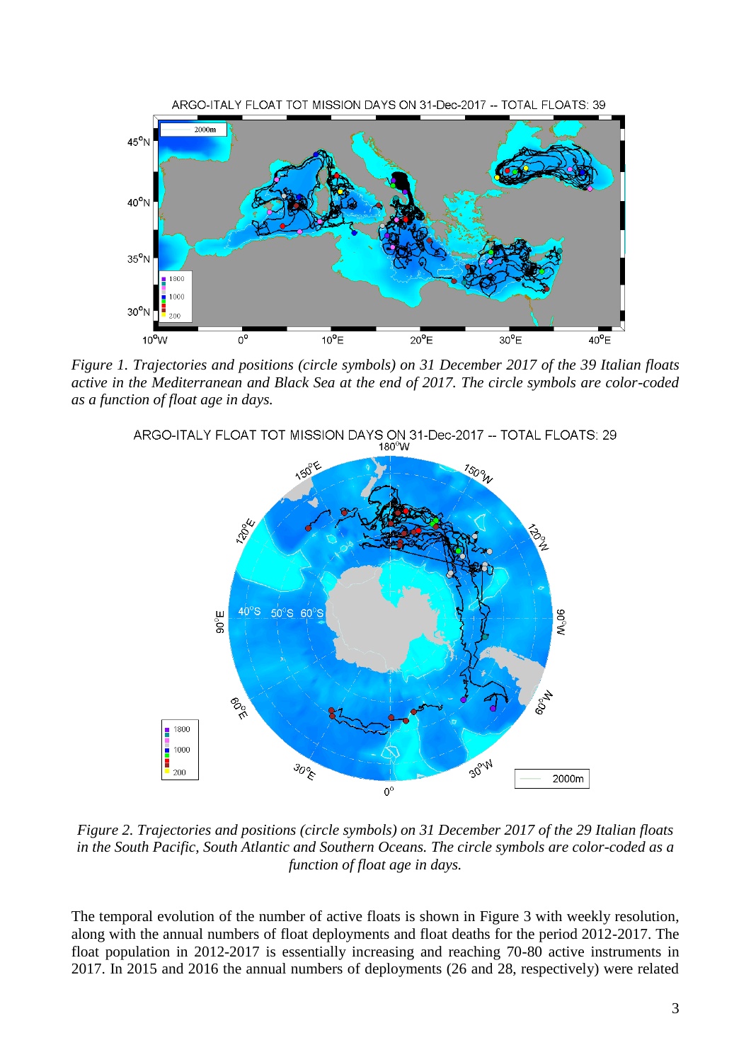

*Figure 1. Trajectories and positions (circle symbols) on 31 December 2017 of the 39 Italian floats active in the Mediterranean and Black Sea at the end of 2017. The circle symbols are color-coded as a function of float age in days.*





*Figure 2. Trajectories and positions (circle symbols) on 31 December 2017 of the 29 Italian floats in the South Pacific, South Atlantic and Southern Oceans. The circle symbols are color-coded as a function of float age in days.*

The temporal evolution of the number of active floats is shown in Figure 3 with weekly resolution, along with the annual numbers of float deployments and float deaths for the period 2012-2017. The float population in 2012-2017 is essentially increasing and reaching 70-80 active instruments in 2017. In 2015 and 2016 the annual numbers of deployments (26 and 28, respectively) were related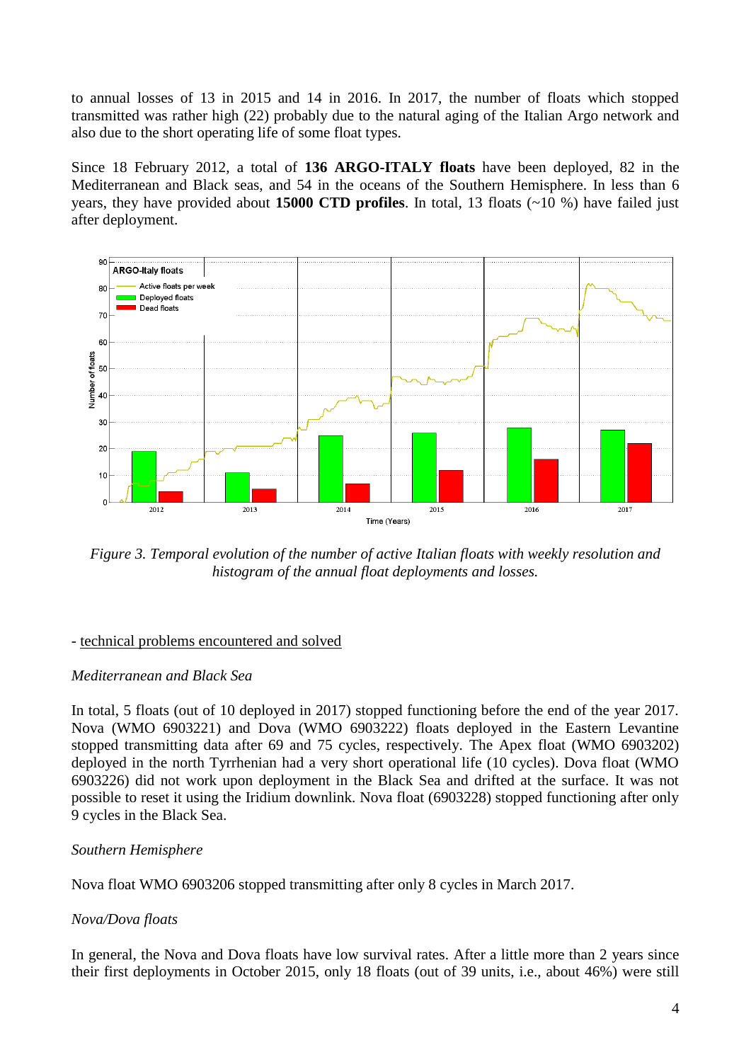to annual losses of 13 in 2015 and 14 in 2016. In 2017, the number of floats which stopped transmitted was rather high (22) probably due to the natural aging of the Italian Argo network and also due to the short operating life of some float types.

Since 18 February 2012, a total of **136 ARGO-ITALY floats** have been deployed, 82 in the Mediterranean and Black seas, and 54 in the oceans of the Southern Hemisphere. In less than 6 years, they have provided about **15000 CTD profiles**. In total, 13 floats (~10 %) have failed just after deployment.



*Figure 3. Temporal evolution of the number of active Italian floats with weekly resolution and histogram of the annual float deployments and losses.*

# - technical problems encountered and solved

## *Mediterranean and Black Sea*

In total, 5 floats (out of 10 deployed in 2017) stopped functioning before the end of the year 2017. Nova (WMO 6903221) and Dova (WMO 6903222) floats deployed in the Eastern Levantine stopped transmitting data after 69 and 75 cycles, respectively. The Apex float (WMO 6903202) deployed in the north Tyrrhenian had a very short operational life (10 cycles). Dova float (WMO 6903226) did not work upon deployment in the Black Sea and drifted at the surface. It was not possible to reset it using the Iridium downlink. Nova float (6903228) stopped functioning after only 9 cycles in the Black Sea.

# *Southern Hemisphere*

Nova float WMO 6903206 stopped transmitting after only 8 cycles in March 2017.

# *Nova/Dova floats*

In general, the Nova and Dova floats have low survival rates. After a little more than 2 years since their first deployments in October 2015, only 18 floats (out of 39 units, i.e., about 46%) were still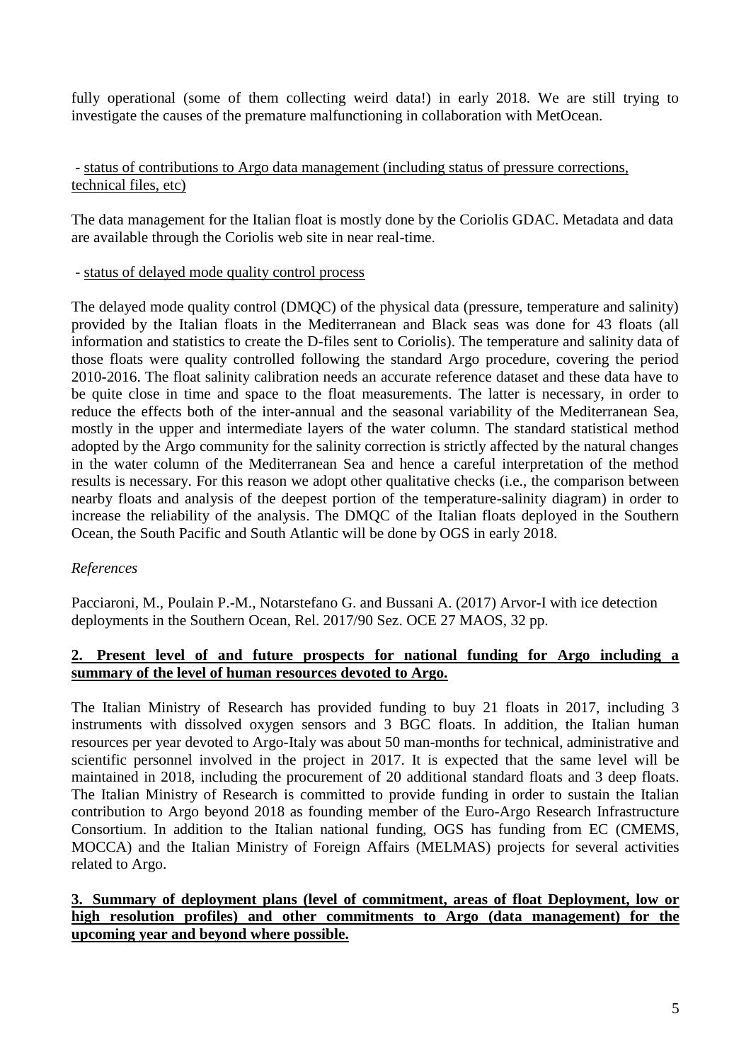fully operational (some of them collecting weird data!) in early 2018. We are still trying to investigate the causes of the premature malfunctioning in collaboration with MetOcean.

#### - status of contributions to Argo data management (including status of pressure corrections, technical files, etc)

The data management for the Italian float is mostly done by the Coriolis GDAC. Metadata and data are available through the Coriolis web site in near real-time.

#### - status of delayed mode quality control process

The delayed mode quality control (DMQC) of the physical data (pressure, temperature and salinity) provided by the Italian floats in the Mediterranean and Black seas was done for 43 floats (all information and statistics to create the D-files sent to Coriolis). The temperature and salinity data of those floats were quality controlled following the standard Argo procedure, covering the period 2010-2016. The float salinity calibration needs an accurate reference dataset and these data have to be quite close in time and space to the float measurements. The latter is necessary, in order to reduce the effects both of the inter-annual and the seasonal variability of the Mediterranean Sea, mostly in the upper and intermediate layers of the water column. The standard statistical method adopted by the Argo community for the salinity correction is strictly affected by the natural changes in the water column of the Mediterranean Sea and hence a careful interpretation of the method results is necessary. For this reason we adopt other qualitative checks (i.e., the comparison between nearby floats and analysis of the deepest portion of the temperature-salinity diagram) in order to increase the reliability of the analysis. The DMQC of the Italian floats deployed in the Southern Ocean, the South Pacific and South Atlantic will be done by OGS in early 2018.

## *References*

Pacciaroni, M., Poulain P.-M., Notarstefano G. and Bussani A. (2017) Arvor-I with ice detection deployments in the Southern Ocean, Rel. 2017/90 Sez. OCE 27 MAOS, 32 pp.

## **2. Present level of and future prospects for national funding for Argo including a summary of the level of human resources devoted to Argo.**

The Italian Ministry of Research has provided funding to buy 21 floats in 2017, including 3 instruments with dissolved oxygen sensors and 3 BGC floats. In addition, the Italian human resources per year devoted to Argo-Italy was about 50 man-months for technical, administrative and scientific personnel involved in the project in 2017. It is expected that the same level will be maintained in 2018, including the procurement of 20 additional standard floats and 3 deep floats. The Italian Ministry of Research is committed to provide funding in order to sustain the Italian contribution to Argo beyond 2018 as founding member of the Euro-Argo Research Infrastructure Consortium. In addition to the Italian national funding, OGS has funding from EC (CMEMS, MOCCA) and the Italian Ministry of Foreign Affairs (MELMAS) projects for several activities related to Argo.

## **3. Summary of deployment plans (level of commitment, areas of float Deployment, low or high resolution profiles) and other commitments to Argo (data management) for the upcoming year and beyond where possible.**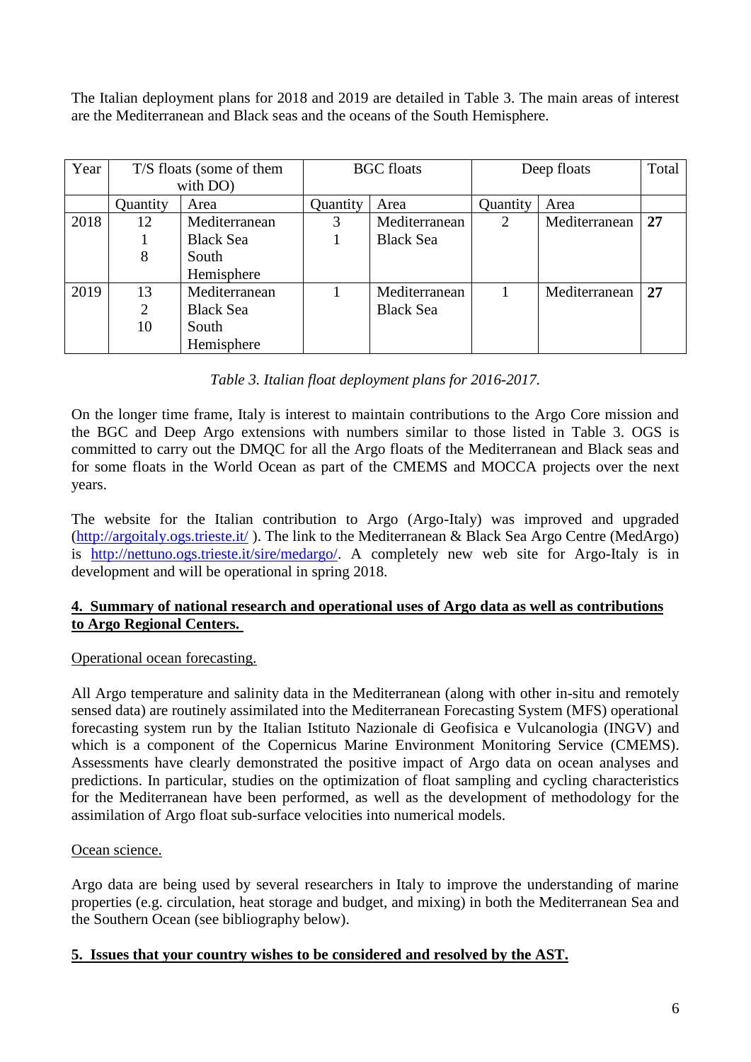The Italian deployment plans for 2018 and 2019 are detailed in Table 3. The main areas of interest are the Mediterranean and Black seas and the oceans of the South Hemisphere.

| Year | T/S floats (some of them |                  |          | <b>BGC</b> floats | Deep floats | Total         |    |
|------|--------------------------|------------------|----------|-------------------|-------------|---------------|----|
|      |                          | with DO)         |          |                   |             |               |    |
|      | Quantity                 | Area             | Quantity | Area              | Quantity    | Area          |    |
| 2018 | 12                       | Mediterranean    | 3        | Mediterranean     | 2           | Mediterranean | 27 |
|      |                          | <b>Black Sea</b> |          | <b>Black Sea</b>  |             |               |    |
|      | 8                        | South            |          |                   |             |               |    |
|      |                          | Hemisphere       |          |                   |             |               |    |
| 2019 | 13                       | Mediterranean    |          | Mediterranean     |             | Mediterranean | 27 |
|      | 2                        | <b>Black Sea</b> |          | <b>Black Sea</b>  |             |               |    |
|      | 10                       | South            |          |                   |             |               |    |
|      |                          | Hemisphere       |          |                   |             |               |    |

## *Table 3. Italian float deployment plans for 2016-2017.*

On the longer time frame, Italy is interest to maintain contributions to the Argo Core mission and the BGC and Deep Argo extensions with numbers similar to those listed in Table 3. OGS is committed to carry out the DMQC for all the Argo floats of the Mediterranean and Black seas and for some floats in the World Ocean as part of the CMEMS and MOCCA projects over the next years.

The website for the Italian contribution to Argo (Argo-Italy) was improved and upgraded [\(http://argoitaly.ogs.trieste.it/](http://argoitaly.ogs.trieste.it/) ). The link to the Mediterranean & Black Sea Argo Centre (MedArgo) is [http://nettuno.ogs.trieste.it/sire/medargo/.](http://nettuno.ogs.trieste.it/sire/medargo/) A completely new web site for Argo-Italy is in development and will be operational in spring 2018.

#### **4. Summary of national research and operational uses of Argo data as well as contributions to Argo Regional Centers.**

## Operational ocean forecasting.

All Argo temperature and salinity data in the Mediterranean (along with other in-situ and remotely sensed data) are routinely assimilated into the Mediterranean Forecasting System (MFS) operational forecasting system run by the Italian Istituto Nazionale di Geofisica e Vulcanologia (INGV) and which is a component of the Copernicus Marine Environment Monitoring Service (CMEMS). Assessments have clearly demonstrated the positive impact of Argo data on ocean analyses and predictions. In particular, studies on the optimization of float sampling and cycling characteristics for the Mediterranean have been performed, as well as the development of methodology for the assimilation of Argo float sub-surface velocities into numerical models.

## Ocean science.

Argo data are being used by several researchers in Italy to improve the understanding of marine properties (e.g. circulation, heat storage and budget, and mixing) in both the Mediterranean Sea and the Southern Ocean (see bibliography below).

## **5. Issues that your country wishes to be considered and resolved by the AST.**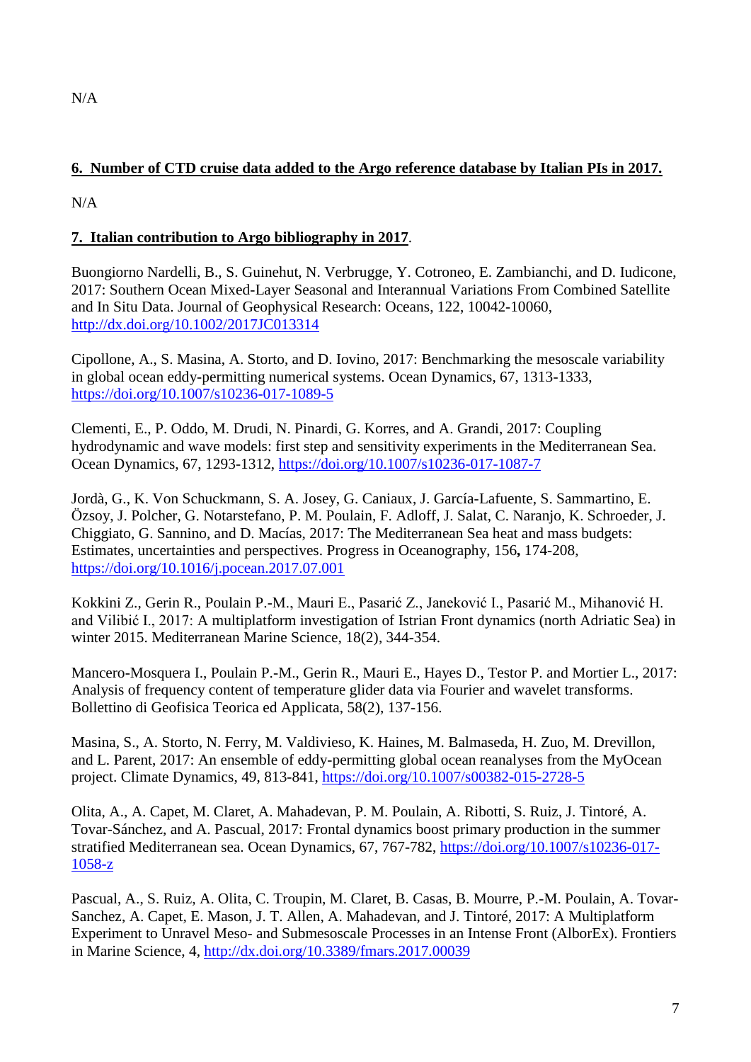# **6. Number of CTD cruise data added to the Argo reference database by Italian PIs in 2017.**

 $N/A$ 

# **7. Italian contribution to Argo bibliography in 2017**.

Buongiorno Nardelli, B., S. Guinehut, N. Verbrugge, Y. Cotroneo, E. Zambianchi, and D. Iudicone, 2017: Southern Ocean Mixed-Layer Seasonal and Interannual Variations From Combined Satellite and In Situ Data. Journal of Geophysical Research: Oceans, 122, 10042-10060, <http://dx.doi.org/10.1002/2017JC013314>

Cipollone, A., S. Masina, A. Storto, and D. Iovino, 2017: Benchmarking the mesoscale variability in global ocean eddy-permitting numerical systems. Ocean Dynamics, 67, 1313-1333, <https://doi.org/10.1007/s10236-017-1089-5>

Clementi, E., P. Oddo, M. Drudi, N. Pinardi, G. Korres, and A. Grandi, 2017: Coupling hydrodynamic and wave models: first step and sensitivity experiments in the Mediterranean Sea. Ocean Dynamics, 67, 1293-1312,<https://doi.org/10.1007/s10236-017-1087-7>

Jordà, G., K. Von Schuckmann, S. A. Josey, G. Caniaux, J. García-Lafuente, S. Sammartino, E. Özsoy, J. Polcher, G. Notarstefano, P. M. Poulain, F. Adloff, J. Salat, C. Naranjo, K. Schroeder, J. Chiggiato, G. Sannino, and D. Macías, 2017: The Mediterranean Sea heat and mass budgets: Estimates, uncertainties and perspectives. Progress in Oceanography, 156**,** 174-208, <https://doi.org/10.1016/j.pocean.2017.07.001>

Kokkini Z., Gerin R., Poulain P.-M., Mauri E., Pasarić Z., Janeković I., Pasarić M., Mihanović H. and Vilibić I., 2017: A multiplatform investigation of Istrian Front dynamics (north Adriatic Sea) in winter 2015. Mediterranean Marine Science, 18(2), 344-354.

Mancero-Mosquera I., Poulain P.-M., Gerin R., Mauri E., Hayes D., Testor P. and Mortier L., 2017: Analysis of frequency content of temperature glider data via Fourier and wavelet transforms. Bollettino di Geofisica Teorica ed Applicata, 58(2), 137-156.

Masina, S., A. Storto, N. Ferry, M. Valdivieso, K. Haines, M. Balmaseda, H. Zuo, M. Drevillon, and L. Parent, 2017: An ensemble of eddy-permitting global ocean reanalyses from the MyOcean project. Climate Dynamics, 49, 813-841,<https://doi.org/10.1007/s00382-015-2728-5>

Olita, A., A. Capet, M. Claret, A. Mahadevan, P. M. Poulain, A. Ribotti, S. Ruiz, J. Tintoré, A. Tovar-Sánchez, and A. Pascual, 2017: Frontal dynamics boost primary production in the summer stratified Mediterranean sea. Ocean Dynamics, 67, 767-782, [https://doi.org/10.1007/s10236-017-](https://doi.org/10.1007/s10236-017-1058-z) [1058-z](https://doi.org/10.1007/s10236-017-1058-z)

Pascual, A., S. Ruiz, A. Olita, C. Troupin, M. Claret, B. Casas, B. Mourre, P.-M. Poulain, A. Tovar-Sanchez, A. Capet, E. Mason, J. T. Allen, A. Mahadevan, and J. Tintoré, 2017: A Multiplatform Experiment to Unravel Meso- and Submesoscale Processes in an Intense Front (AlborEx). Frontiers in Marine Science, 4,<http://dx.doi.org/10.3389/fmars.2017.00039>